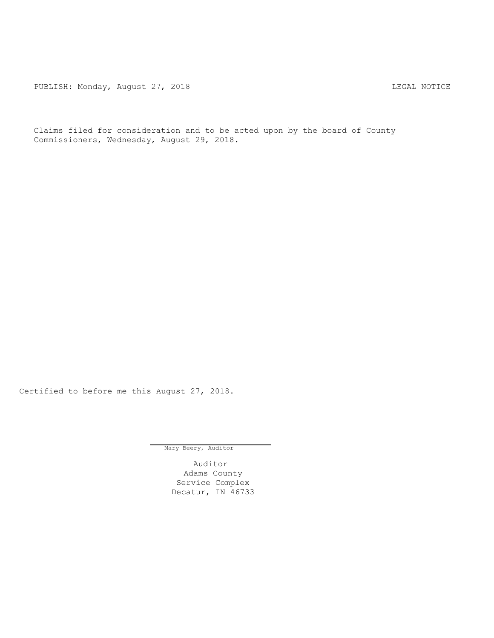PUBLISH: Monday, August 27, 2018 CHA CHANGE AND THE SAL NOTICE

Claims filed for consideration and to be acted upon by the board of County Commissioners, Wednesday, August 29, 2018.

Certified to before me this August 27, 2018.

Mary Beery, Auditor

Auditor Adams County Service Complex Decatur, IN 46733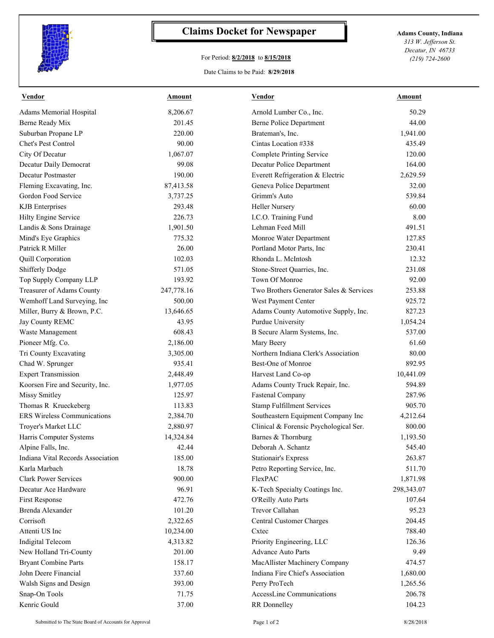

## **Claims Docket for Newspaper Adams County, Indiana**

## For Period: **8/2/2018** to **8/15/2018**

*313 W. Jefferson St. Decatur, IN 46733 (219) 724-2600*

## Date Claims to be Paid: **8/29/2018**

| <b>Vendor</b>                     | Amount     | Vendor                                  | Amount     |
|-----------------------------------|------------|-----------------------------------------|------------|
| Adams Memorial Hospital           | 8,206.67   | Arnold Lumber Co., Inc.                 | 50.29      |
| Berne Ready Mix                   | 201.45     | <b>Berne Police Department</b>          | 44.00      |
| Suburban Propane LP               | 220.00     | Brateman's, Inc.                        | 1,941.00   |
| Chet's Pest Control               | 90.00      | Cintas Location #338                    | 435.49     |
| City Of Decatur                   | 1,067.07   | <b>Complete Printing Service</b>        | 120.00     |
| Decatur Daily Democrat            | 99.08      | Decatur Police Department               | 164.00     |
| Decatur Postmaster                | 190.00     | Everett Refrigeration & Electric        | 2,629.59   |
| Fleming Excavating, Inc.          | 87,413.58  | Geneva Police Department                | 32.00      |
| Gordon Food Service               | 3,737.25   | Grimm's Auto                            | 539.84     |
| <b>KJB</b> Enterprises            | 293.48     | Heller Nursery                          | 60.00      |
| Hilty Engine Service              | 226.73     | I.C.O. Training Fund                    | 8.00       |
| Landis & Sons Drainage            | 1,901.50   | Lehman Feed Mill                        | 491.51     |
| Mind's Eye Graphics               | 775.32     | Monroe Water Department                 | 127.85     |
| Patrick R Miller                  | 26.00      | Portland Motor Parts, Inc               | 230.41     |
| Quill Corporation                 | 102.03     | Rhonda L. McIntosh                      | 12.32      |
| Shifferly Dodge                   | 571.05     | Stone-Street Quarries, Inc.             | 231.08     |
| Top Supply Company LLP            | 193.92     | Town Of Monroe                          | 92.00      |
| Treasurer of Adams County         | 247,778.16 | Two Brothers Generator Sales & Services | 253.88     |
| Wemhoff Land Surveying, Inc       | 500.00     | West Payment Center                     | 925.72     |
| Miller, Burry & Brown, P.C.       | 13,646.65  | Adams County Automotive Supply, Inc.    | 827.23     |
| Jay County REMC                   | 43.95      | Purdue University                       | 1,054.24   |
| Waste Management                  | 608.43     | B Secure Alarm Systems, Inc.            | 537.00     |
| Pioneer Mfg. Co.                  | 2,186.00   | Mary Beery                              | 61.60      |
| Tri County Excavating             | 3,305.00   | Northern Indiana Clerk's Association    | 80.00      |
| Chad W. Sprunger                  | 935.41     | Best-One of Monroe                      | 892.95     |
| <b>Expert Transmission</b>        | 2,448.49   | Harvest Land Co-op                      | 10,441.09  |
| Koorsen Fire and Security, Inc.   | 1,977.05   | Adams County Truck Repair, Inc.         | 594.89     |
| <b>Missy Smitley</b>              | 125.97     | <b>Fastenal Company</b>                 | 287.96     |
| Thomas R Krueckeberg              | 113.83     | <b>Stamp Fulfillment Services</b>       | 905.70     |
| ERS Wireless Communications       | 2,384.70   | Southeastern Equipment Company Inc      | 4,212.64   |
| Troyer's Market LLC               | 2,880.97   | Clinical & Forensic Psychological Ser.  | 800.00     |
| Harris Computer Systems           | 14,324.84  | Barnes & Thornburg                      | 1,193.50   |
| Alpine Falls, Inc.                | 42.44      | Deborah A. Schantz                      | 545.40     |
| Indiana Vital Records Association | 185.00     | <b>Stationair's Express</b>             | 263.87     |
| Karla Marbach                     | 18.78      | Petro Reporting Service, Inc.           | 511.70     |
| <b>Clark Power Services</b>       | 900.00     | FlexPAC                                 | 1,871.98   |
| Decatur Ace Hardware              | 96.91      | K-Tech Specialty Coatings Inc.          | 298,343.07 |
| First Response                    | 472.76     | O'Reilly Auto Parts                     | 107.64     |
| Brenda Alexander                  | 101.20     | Trevor Callahan                         | 95.23      |
| Corrisoft                         | 2,322.65   | Central Customer Charges                | 204.45     |
| Attenti US Inc                    | 10,234.00  | Cxtec                                   | 788.40     |
| Indigital Telecom                 | 4,313.82   | Priority Engineering, LLC               | 126.36     |
| New Holland Tri-County            | 201.00     | <b>Advance Auto Parts</b>               | 9.49       |
| <b>Bryant Combine Parts</b>       | 158.17     | MacAllister Machinery Company           | 474.57     |
| John Deere Financial              | 337.60     | Indiana Fire Chief's Association        | 1,680.00   |
| Walsh Signs and Design            | 393.00     | Perry ProTech                           | 1,265.56   |
| Snap-On Tools                     | 71.75      | AccessLine Communications               | 206.78     |
| Kenric Gould                      | 37.00      | RR Donnelley                            | 104.23     |
|                                   |            |                                         |            |